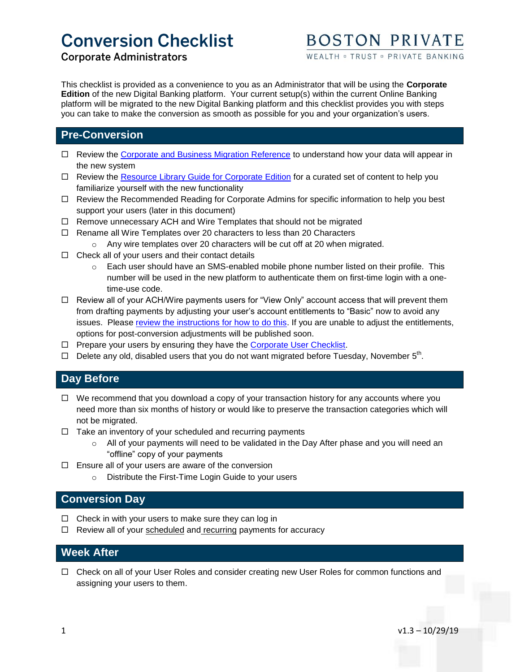# **Conversion Checklist**

# **Corporate Administrators**

WEALTH = TRUST = PRIVATE BANKING

This checklist is provided as a convenience to you as an Administrator that will be using the **Corporate Edition** of the new Digital Banking platform. Your current setup(s) within the current Online Banking platform will be migrated to the new Digital Banking platform and this checklist provides you with steps you can take to make the conversion as smooth as possible for you and your organization's users.

# **Pre-Conversion**

- □ Review the [Corporate and Business Migration Reference](https://go.bostonprivate.com/corporate-migration-reference) to understand how your data will appear in the new system
- $\Box$  Review the [Resource Library Guide for Corporate Edition](https://files.bostonprivate.com/file/Checklist-Guide-Corporate-v1.pdf) for a curated set of content to help you familiarize yourself with the new functionality
- $\Box$  Review the Recommended Reading for Corporate Admins for specific information to help you best support your users (later in this document)
- $\Box$  Remove unnecessary ACH and Wire Templates that should not be migrated
- $\Box$  Rename all Wire Templates over 20 characters to less than 20 Characters
	- o Any wire templates over 20 characters will be cut off at 20 when migrated.
- $\Box$  Check all of your users and their contact details
	- $\circ$  Each user should have an SMS-enabled mobile phone number listed on their profile. This number will be used in the new platform to authenticate them on first-time login with a onetime-use code.
- $\Box$  Review all of your ACH/Wire payments users for "View Only" account access that will prevent them from drafting payments by adjusting your user's account entitlements to "Basic" now to avoid any issues. Please [review the instructions for how to do this.](https://files.bostonprivate.com/file/Apiture-Account-Entitlement-Changes.pdf) If you are unable to adjust the entitlements, options for post-conversion adjustments will be published soon.
- $\Box$  Prepare your users by ensuring they have the [Corporate User Checklist.](https://go.bostonprivate.com/business-user-checklist)
- $\Box$  Delete any old, disabled users that you do not want migrated before Tuesday, November 5<sup>th</sup>.

### **Day Before**

- $\Box$  We recommend that you download a copy of your transaction history for any accounts where you need more than six months of history or would like to preserve the transaction categories which will not be migrated.
- $\Box$  Take an inventory of your scheduled and recurring payments
	- o All of your payments will need to be validated in the Day After phase and you will need an "offline" copy of your payments
- $\Box$  Ensure all of your users are aware of the conversion
	- o Distribute the First-Time Login Guide to your users

## **Conversion Day**

- $\Box$  Check in with your users to make sure they can log in
- $\Box$  Review all of your scheduled and recurring payments for accuracy

### **Week After**

□ Check on all of your User Roles and consider creating new User Roles for common functions and assigning your users to them.